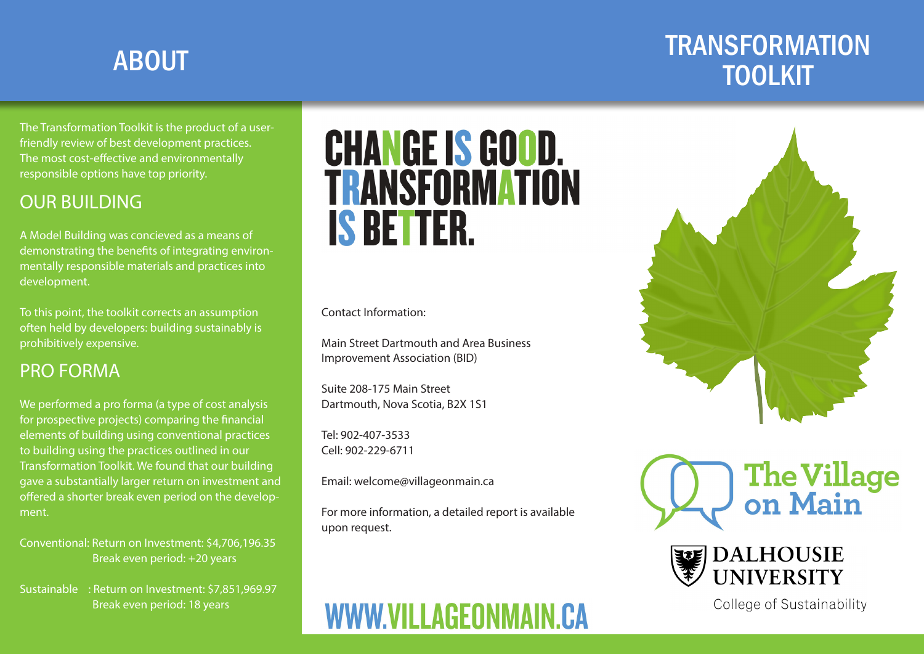# **TRANSFORMATION** ABOUT A SUMMER WAS CITED AND A SUMMER WAS CITED AND A SUMMER WAS CITED AND ASSESSMENT OF A SUMMER WAS CONSUMED<br>TOOLKIT

The Transformation Toolkit is the product of a userfriendly review of best development practices. The most cost-effective and environmentally responsible options have top priority.

## OUR BUILDING

A Model Building was concieved as a means of demonstrating the benefits of integrating environmentally responsible materials and practices into development.

To this point, the toolkit corrects an assumption often held by developers: building sustainably is prohibitively expensive.

### PRO FORMA

We performed a pro forma (a type of cost analysis for prospective projects) comparing the financial elements of building using conventional practices to building using the practices outlined in our Transformation Toolkit. We found that our building gave a substantially larger return on investment and offered a shorter break even period on the development.

Conventional: Return on Investment: \$4,706,196.35 Break even period: +20 years

Sustainable : Return on Investment: \$7,851,969.97 Break even period: 18 years

# **CHANGE IS GOOD. TRANSFORMATION IS BETTER.**

Contact Information:

Main Street Dartmouth and Area Business Improvement Association (BID)

Suite 208-175 Main Street Dartmouth, Nova Scotia, B2X 1S1

Tel: 902-407-3533 Cell: 902-229-6711

Email: welcome@villageonmain.ca

For more information, a detailed report is available upon request.









College of Sustainability